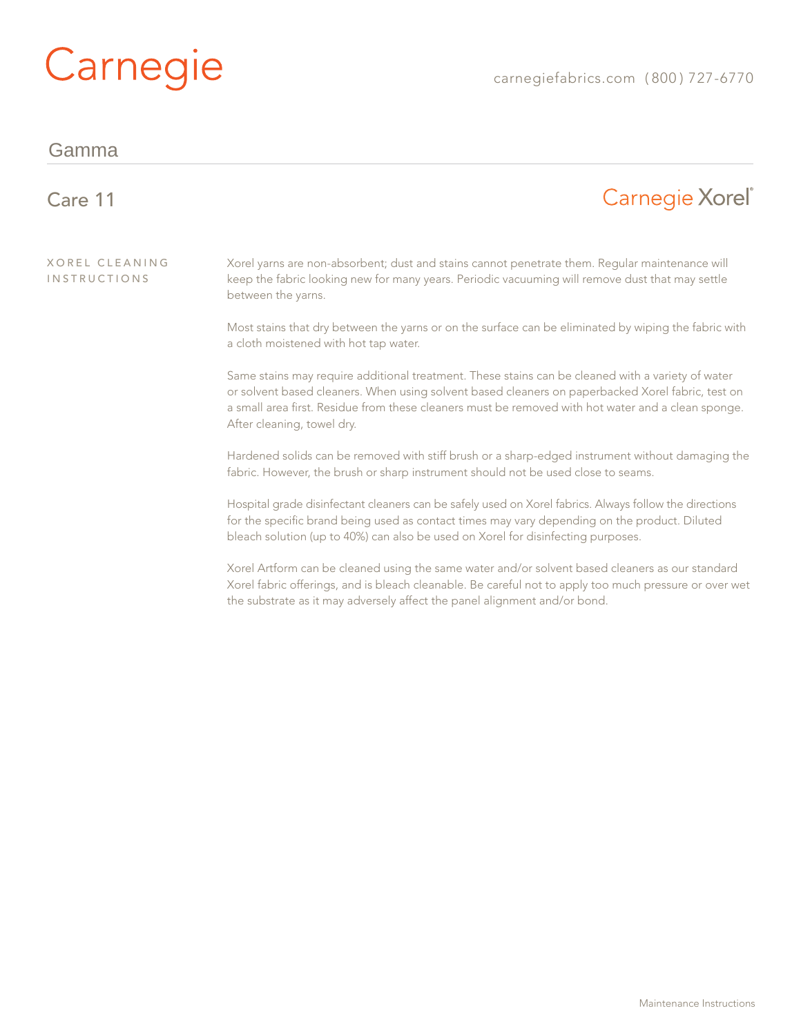# Carnegie

#### Gamma

#### Carnegie Xorel<sup>®</sup> Care 11 Xorel Cleaning Xorel yarns are non-absorbent; dust and stains cannot penetrate them. Regular maintenance will **INSTRUCTIONS** keep the fabric looking new for many years. Periodic vacuuming will remove dust that may settle between the yarns. Most stains that dry between the yarns or on the surface can be eliminated by wiping the fabric with a cloth moistened with hot tap water. Same stains may require additional treatment. These stains can be cleaned with a variety of water or solvent based cleaners. When using solvent based cleaners on paperbacked Xorel fabric, test on a small area first. Residue from these cleaners must be removed with hot water and a clean sponge. After cleaning, towel dry. Hardened solids can be removed with stiff brush or a sharp-edged instrument without damaging the fabric. However, the brush or sharp instrument should not be used close to seams.

Hospital grade disinfectant cleaners can be safely used on Xorel fabrics. Always follow the directions for the specific brand being used as contact times may vary depending on the product. Diluted bleach solution (up to 40%) can also be used on Xorel for disinfecting purposes.

Xorel Artform can be cleaned using the same water and/or solvent based cleaners as our standard Xorel fabric offerings, and is bleach cleanable. Be careful not to apply too much pressure or over wet the substrate as it may adversely affect the panel alignment and/or bond.